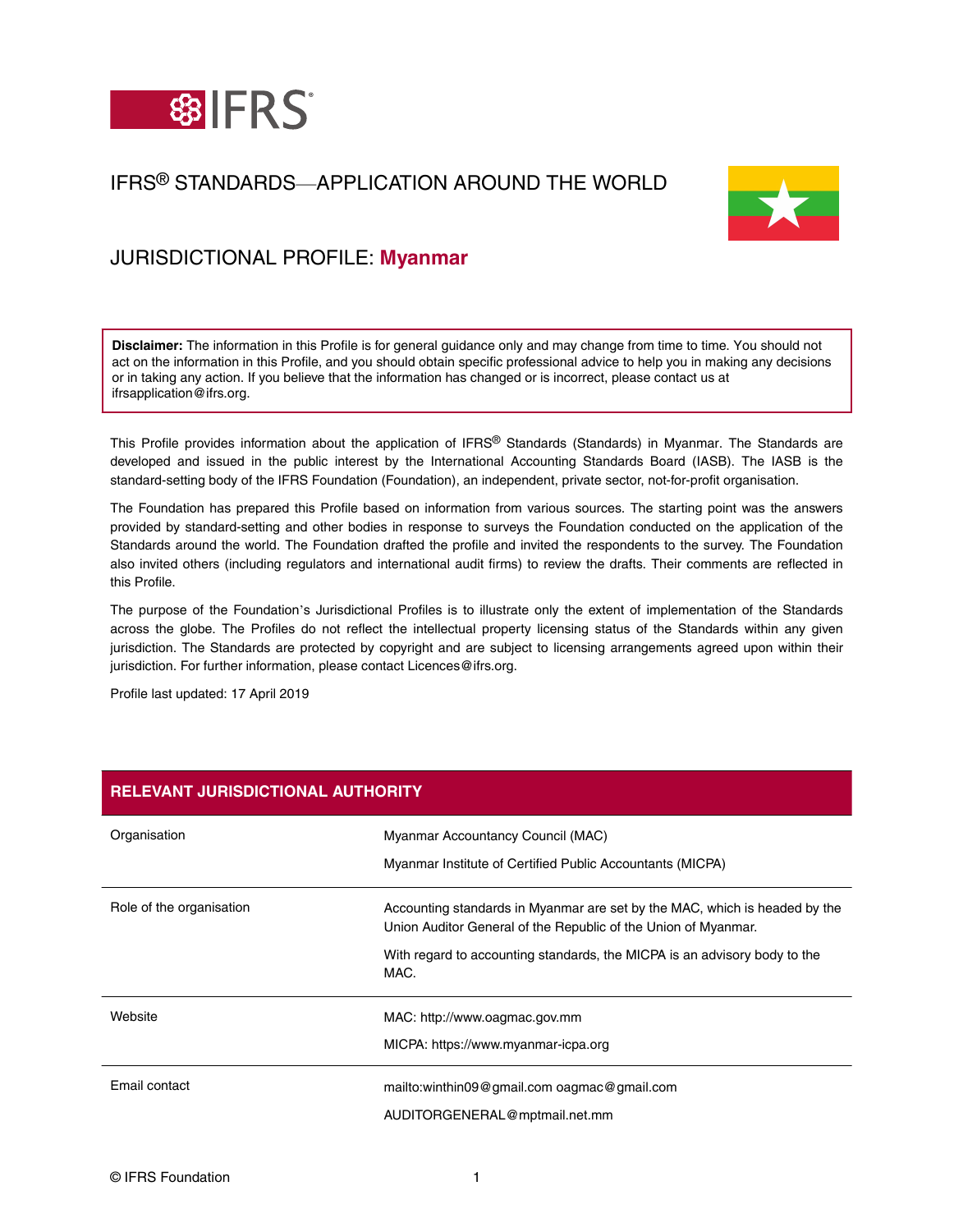

# IFRS® STANDARDS—APPLICATION AROUND THE WORLD



## JURISDICTIONAL PROFILE: **Myanmar**

**Disclaimer:** The information in this Profile is for general guidance only and may change from time to time. You should not act on the information in this Profile, and you should obtain specific professional advice to help you in making any decisions or in taking any action. If you believe that the information has changed or is incorrect, please contact us at ifrsapplication@ifrs.org.

This Profile provides information about the application of IFRS® Standards (Standards) in Myanmar. The Standards are developed and issued in the public interest by the International Accounting Standards Board (IASB). The IASB is the standard-setting body of the IFRS Foundation (Foundation), an independent, private sector, not-for-profit organisation.

The Foundation has prepared this Profile based on information from various sources. The starting point was the answers provided by standard-setting and other bodies in response to surveys the Foundation conducted on the application of the Standards around the world. The Foundation drafted the profile and invited the respondents to the survey. The Foundation also invited others (including regulators and international audit firms) to review the drafts. Their comments are reflected in this Profile.

The purpose of the Foundation's Jurisdictional Profiles is to illustrate only the extent of implementation of the Standards across the globe. The Profiles do not reflect the intellectual property licensing status of the Standards within any given jurisdiction. The Standards are protected by copyright and are subject to licensing arrangements agreed upon within their jurisdiction. For further information, please contact Licences@ifrs.org.

Profile last updated: 17 April 2019

| <b>RELEVANT JURISDICTIONAL AUTHORITY</b> |                                                                                                                                              |  |
|------------------------------------------|----------------------------------------------------------------------------------------------------------------------------------------------|--|
| Organisation                             | Myanmar Accountancy Council (MAC)                                                                                                            |  |
|                                          | Myanmar Institute of Certified Public Accountants (MICPA)                                                                                    |  |
| Role of the organisation                 | Accounting standards in Myanmar are set by the MAC, which is headed by the<br>Union Auditor General of the Republic of the Union of Myanmar. |  |
|                                          | With regard to accounting standards, the MICPA is an advisory body to the<br>MAC.                                                            |  |
| Website                                  | MAC: http://www.oagmac.gov.mm                                                                                                                |  |
|                                          | MICPA: https://www.myanmar-icpa.org                                                                                                          |  |
| Email contact                            | mailto:winthin09@gmail.com oagmac@gmail.com                                                                                                  |  |
|                                          | AUDITORGENERAL@mptmail.net.mm                                                                                                                |  |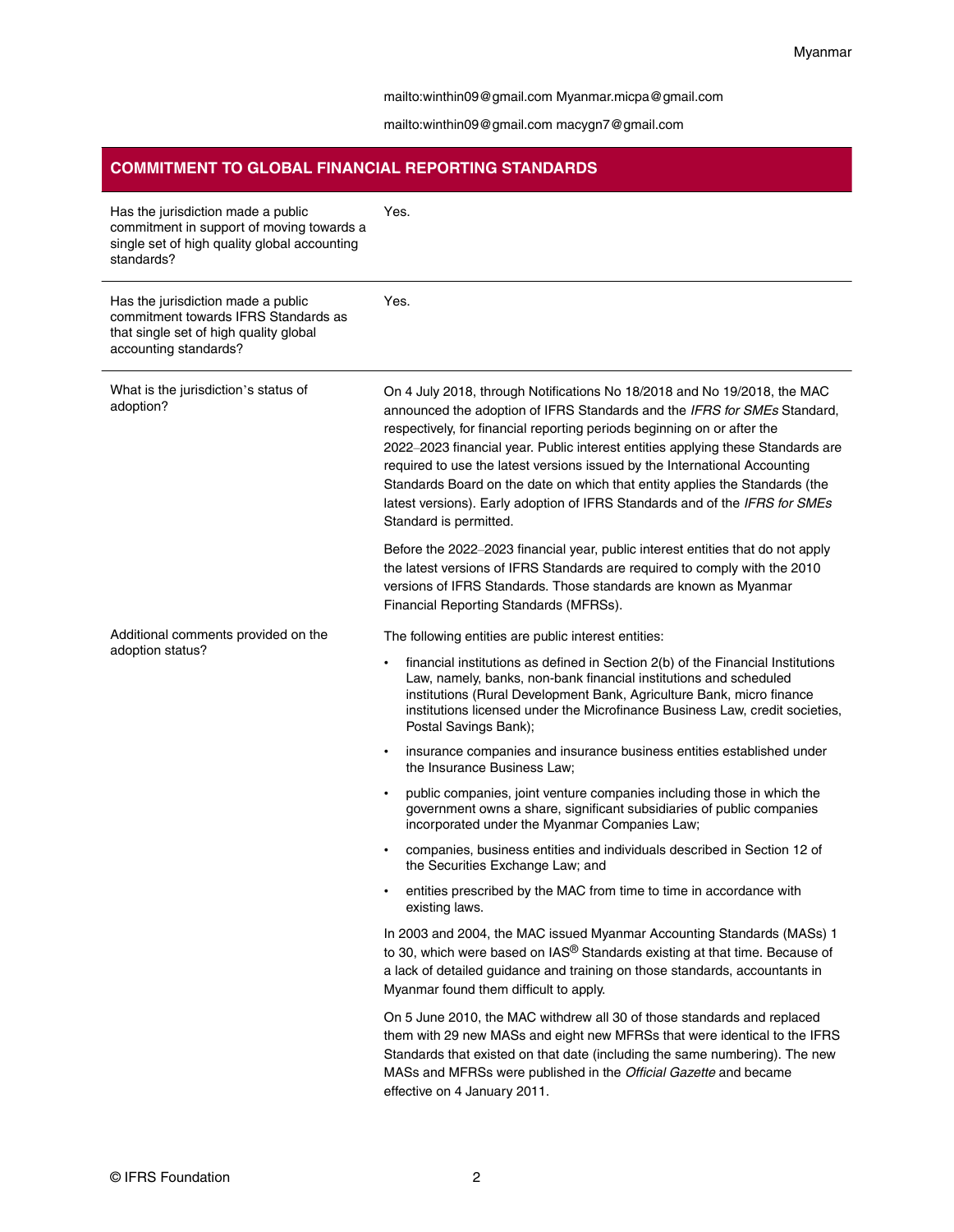#### <mailto:winthin09@gmail.com> [Myanmar.micpa@gmail.com](mailto:Myanmar.micpa@gmail.com)

<mailto:winthin09@gmail.com> [macygn7@gmail.com](mailto:macygn7@gmail.com)

### **COMMITMENT TO GLOBAL FINANCIAL REPORTING STANDARDS**

| Has the jurisdiction made a public<br>commitment in support of moving towards a<br>single set of high quality global accounting<br>standards? | Yes.                                                                                                                                                                                                                                                                                                                                                                                                                                                                                                                                                                                     |
|-----------------------------------------------------------------------------------------------------------------------------------------------|------------------------------------------------------------------------------------------------------------------------------------------------------------------------------------------------------------------------------------------------------------------------------------------------------------------------------------------------------------------------------------------------------------------------------------------------------------------------------------------------------------------------------------------------------------------------------------------|
| Has the jurisdiction made a public<br>commitment towards IFRS Standards as<br>that single set of high quality global<br>accounting standards? | Yes.                                                                                                                                                                                                                                                                                                                                                                                                                                                                                                                                                                                     |
| What is the jurisdiction's status of<br>adoption?                                                                                             | On 4 July 2018, through Notifications No 18/2018 and No 19/2018, the MAC<br>announced the adoption of IFRS Standards and the IFRS for SMEs Standard,<br>respectively, for financial reporting periods beginning on or after the<br>2022-2023 financial year. Public interest entities applying these Standards are<br>required to use the latest versions issued by the International Accounting<br>Standards Board on the date on which that entity applies the Standards (the<br>latest versions). Early adoption of IFRS Standards and of the IFRS for SMEs<br>Standard is permitted. |
|                                                                                                                                               | Before the 2022-2023 financial year, public interest entities that do not apply<br>the latest versions of IFRS Standards are required to comply with the 2010<br>versions of IFRS Standards. Those standards are known as Myanmar<br>Financial Reporting Standards (MFRSs).                                                                                                                                                                                                                                                                                                              |
| Additional comments provided on the                                                                                                           | The following entities are public interest entities:                                                                                                                                                                                                                                                                                                                                                                                                                                                                                                                                     |
| adoption status?                                                                                                                              | financial institutions as defined in Section 2(b) of the Financial Institutions<br>$\bullet$<br>Law, namely, banks, non-bank financial institutions and scheduled<br>institutions (Rural Development Bank, Agriculture Bank, micro finance<br>institutions licensed under the Microfinance Business Law, credit societies,<br>Postal Savings Bank);                                                                                                                                                                                                                                      |
|                                                                                                                                               | insurance companies and insurance business entities established under<br>٠<br>the Insurance Business Law;                                                                                                                                                                                                                                                                                                                                                                                                                                                                                |
|                                                                                                                                               | public companies, joint venture companies including those in which the<br>٠<br>government owns a share, significant subsidiaries of public companies<br>incorporated under the Myanmar Companies Law;                                                                                                                                                                                                                                                                                                                                                                                    |
|                                                                                                                                               | companies, business entities and individuals described in Section 12 of<br>$\bullet$<br>the Securities Exchange Law; and                                                                                                                                                                                                                                                                                                                                                                                                                                                                 |
|                                                                                                                                               | entities prescribed by the MAC from time to time in accordance with<br>existing laws.                                                                                                                                                                                                                                                                                                                                                                                                                                                                                                    |
|                                                                                                                                               | In 2003 and 2004, the MAC issued Myanmar Accounting Standards (MASs) 1<br>to 30, which were based on IAS® Standards existing at that time. Because of<br>a lack of detailed guidance and training on those standards, accountants in<br>Myanmar found them difficult to apply.                                                                                                                                                                                                                                                                                                           |
|                                                                                                                                               | On 5 June 2010, the MAC withdrew all 30 of those standards and replaced<br>them with 29 new MASs and eight new MFRSs that were identical to the IFRS<br>Standards that existed on that date (including the same numbering). The new<br>MASs and MFRSs were published in the Official Gazette and became<br>effective on 4 January 2011.                                                                                                                                                                                                                                                  |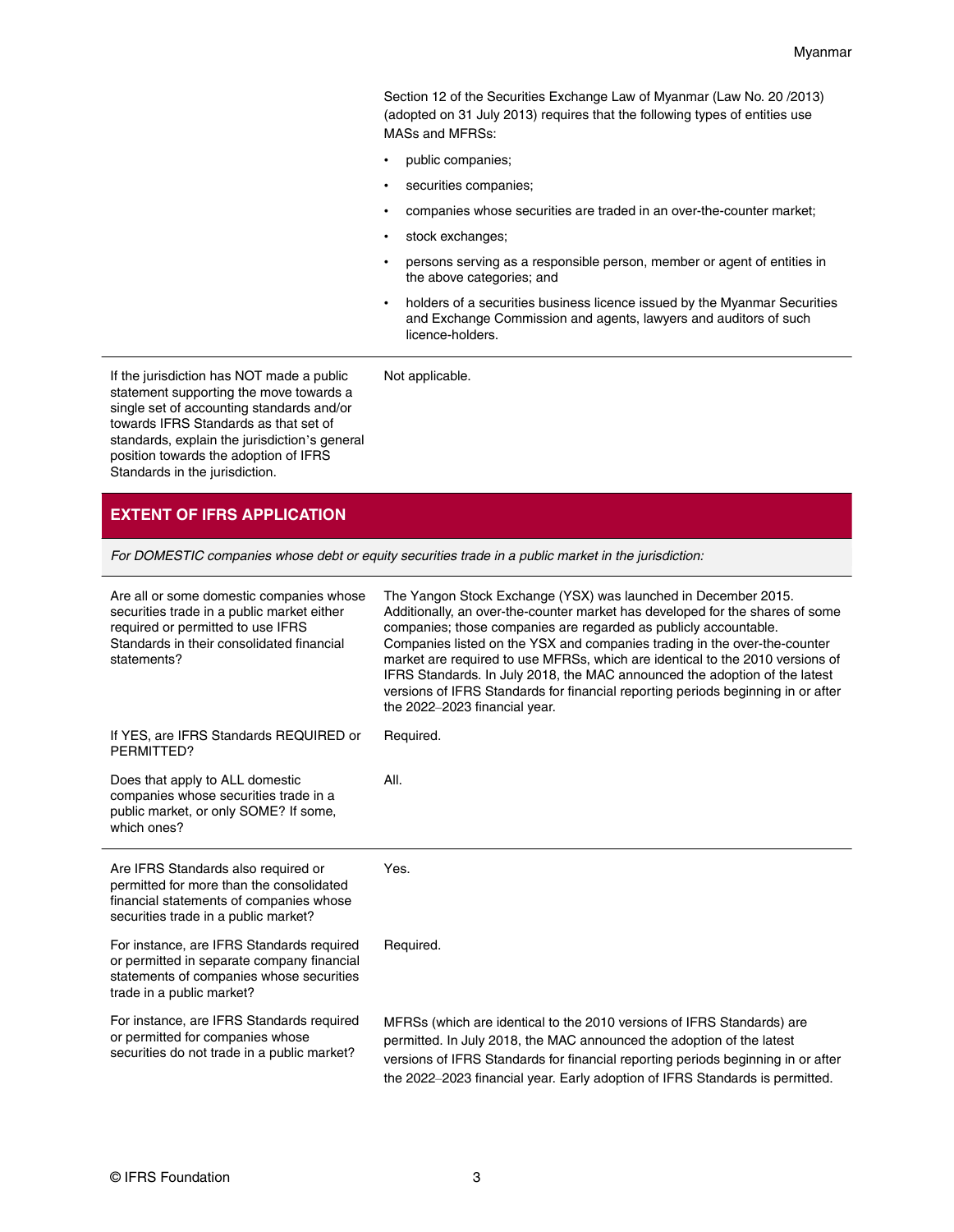Section 12 of the [Securities Exchange Law of Myanmar \(Law No. 20 /2013\)](http://ysx-mm.com/en/regulations/laws/) (adopted on 31 July 2013) requires that the following types of entities use MASs and MFRSs:

- public companies;
- securities companies;
- companies whose securities are traded in an over-the-counter market;
- stock exchanges;

Not applicable.

- persons serving as a responsible person, member or agent of entities in the above categories; and
- holders of a securities business licence issued by the Myanmar Securities and Exchange Commission and agents, lawyers and auditors of such licence-holders.

If the jurisdiction has NOT made a public statement supporting the move towards a single set of accounting standards and/or towards IFRS Standards as that set of standards, explain the jurisdiction's general position towards the adoption of IFRS Standards in the jurisdiction.

#### **EXTENT OF IFRS APPLICATION**

For DOMESTIC companies whose debt or equity securities trade in a public market in the jurisdiction:

| Are all or some domestic companies whose<br>securities trade in a public market either<br>required or permitted to use IFRS<br>Standards in their consolidated financial<br>statements? | The Yangon Stock Exchange (YSX) was launched in December 2015.<br>Additionally, an over-the-counter market has developed for the shares of some<br>companies; those companies are regarded as publicly accountable.<br>Companies listed on the YSX and companies trading in the over-the-counter<br>market are required to use MFRSs, which are identical to the 2010 versions of<br>IFRS Standards. In July 2018, the MAC announced the adoption of the latest<br>versions of IFRS Standards for financial reporting periods beginning in or after<br>the 2022-2023 financial year. |
|-----------------------------------------------------------------------------------------------------------------------------------------------------------------------------------------|--------------------------------------------------------------------------------------------------------------------------------------------------------------------------------------------------------------------------------------------------------------------------------------------------------------------------------------------------------------------------------------------------------------------------------------------------------------------------------------------------------------------------------------------------------------------------------------|
| If YES, are IFRS Standards REQUIRED or<br>PERMITTED?                                                                                                                                    | Required.                                                                                                                                                                                                                                                                                                                                                                                                                                                                                                                                                                            |
| Does that apply to ALL domestic<br>companies whose securities trade in a<br>public market, or only SOME? If some,<br>which ones?                                                        | AII.                                                                                                                                                                                                                                                                                                                                                                                                                                                                                                                                                                                 |
| Are IFRS Standards also required or                                                                                                                                                     | Yes.                                                                                                                                                                                                                                                                                                                                                                                                                                                                                                                                                                                 |
| permitted for more than the consolidated<br>financial statements of companies whose<br>securities trade in a public market?                                                             |                                                                                                                                                                                                                                                                                                                                                                                                                                                                                                                                                                                      |
| For instance, are IFRS Standards required<br>or permitted in separate company financial<br>statements of companies whose securities<br>trade in a public market?                        | Required.                                                                                                                                                                                                                                                                                                                                                                                                                                                                                                                                                                            |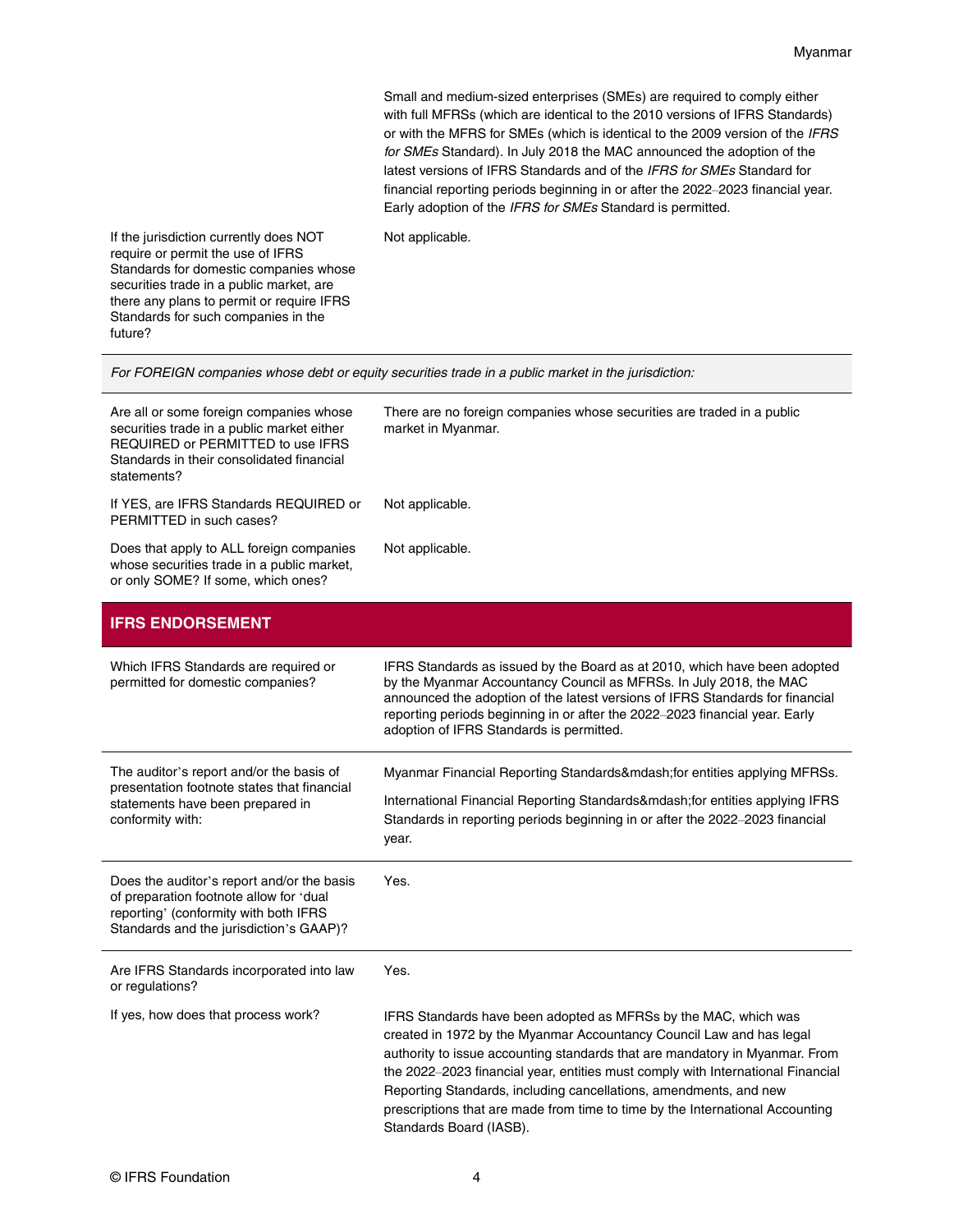Small and medium-sized enterprises (SMEs) are required to comply either with full MFRSs (which are identical to the 2010 versions of IFRS Standards) or with the MFRS for SMEs (which is identical to the 2009 version of the IFRS for SMEs Standard). In July 2018 the MAC announced the adoption of the latest versions of IFRS Standards and of the IFRS for SMEs Standard for financial reporting periods beginning in or after the 2022–2023 financial year. Early adoption of the IFRS for SMEs Standard is permitted.

Not applicable.

If the jurisdiction currently does NOT require or permit the use of IFRS Standards for domestic companies whose securities trade in a public market, are there any plans to permit or require IFRS Standards for such companies in the future?

For FOREIGN companies whose debt or equity securities trade in a public market in the jurisdiction:

| Are all or some foreign companies whose<br>securities trade in a public market either<br>REQUIRED or PERMITTED to use IFRS<br>Standards in their consolidated financial<br>statements? | There are no foreign companies whose securities are traded in a public<br>market in Myanmar.                                                                                                                                                                                                                                                                                                                                                                                               |
|----------------------------------------------------------------------------------------------------------------------------------------------------------------------------------------|--------------------------------------------------------------------------------------------------------------------------------------------------------------------------------------------------------------------------------------------------------------------------------------------------------------------------------------------------------------------------------------------------------------------------------------------------------------------------------------------|
| If YES, are IFRS Standards REQUIRED or<br>PERMITTED in such cases?                                                                                                                     | Not applicable.                                                                                                                                                                                                                                                                                                                                                                                                                                                                            |
| Does that apply to ALL foreign companies<br>whose securities trade in a public market,<br>or only SOME? If some, which ones?                                                           | Not applicable.                                                                                                                                                                                                                                                                                                                                                                                                                                                                            |
| <b>IFRS ENDORSEMENT</b>                                                                                                                                                                |                                                                                                                                                                                                                                                                                                                                                                                                                                                                                            |
| Which IFRS Standards are required or<br>permitted for domestic companies?                                                                                                              | IFRS Standards as issued by the Board as at 2010, which have been adopted<br>by the Myanmar Accountancy Council as MFRSs. In July 2018, the MAC<br>announced the adoption of the latest versions of IFRS Standards for financial<br>reporting periods beginning in or after the 2022-2023 financial year. Early<br>adoption of IFRS Standards is permitted.                                                                                                                                |
| The auditor's report and/or the basis of<br>presentation footnote states that financial<br>statements have been prepared in<br>conformity with:                                        | Myanmar Financial Reporting Standards—for entities applying MFRSs.<br>International Financial Reporting Standards—for entities applying IFRS<br>Standards in reporting periods beginning in or after the 2022-2023 financial<br>year.                                                                                                                                                                                                                                                      |
| Does the auditor's report and/or the basis<br>of preparation footnote allow for 'dual<br>reporting' (conformity with both IFRS<br>Standards and the jurisdiction's GAAP)?              | Yes.                                                                                                                                                                                                                                                                                                                                                                                                                                                                                       |
| Are IFRS Standards incorporated into law<br>or regulations?                                                                                                                            | Yes.                                                                                                                                                                                                                                                                                                                                                                                                                                                                                       |
| If yes, how does that process work?                                                                                                                                                    | IFRS Standards have been adopted as MFRSs by the MAC, which was<br>created in 1972 by the Myanmar Accountancy Council Law and has legal<br>authority to issue accounting standards that are mandatory in Myanmar. From<br>the 2022-2023 financial year, entities must comply with International Financial<br>Reporting Standards, including cancellations, amendments, and new<br>prescriptions that are made from time to time by the International Accounting<br>Standards Board (IASB). |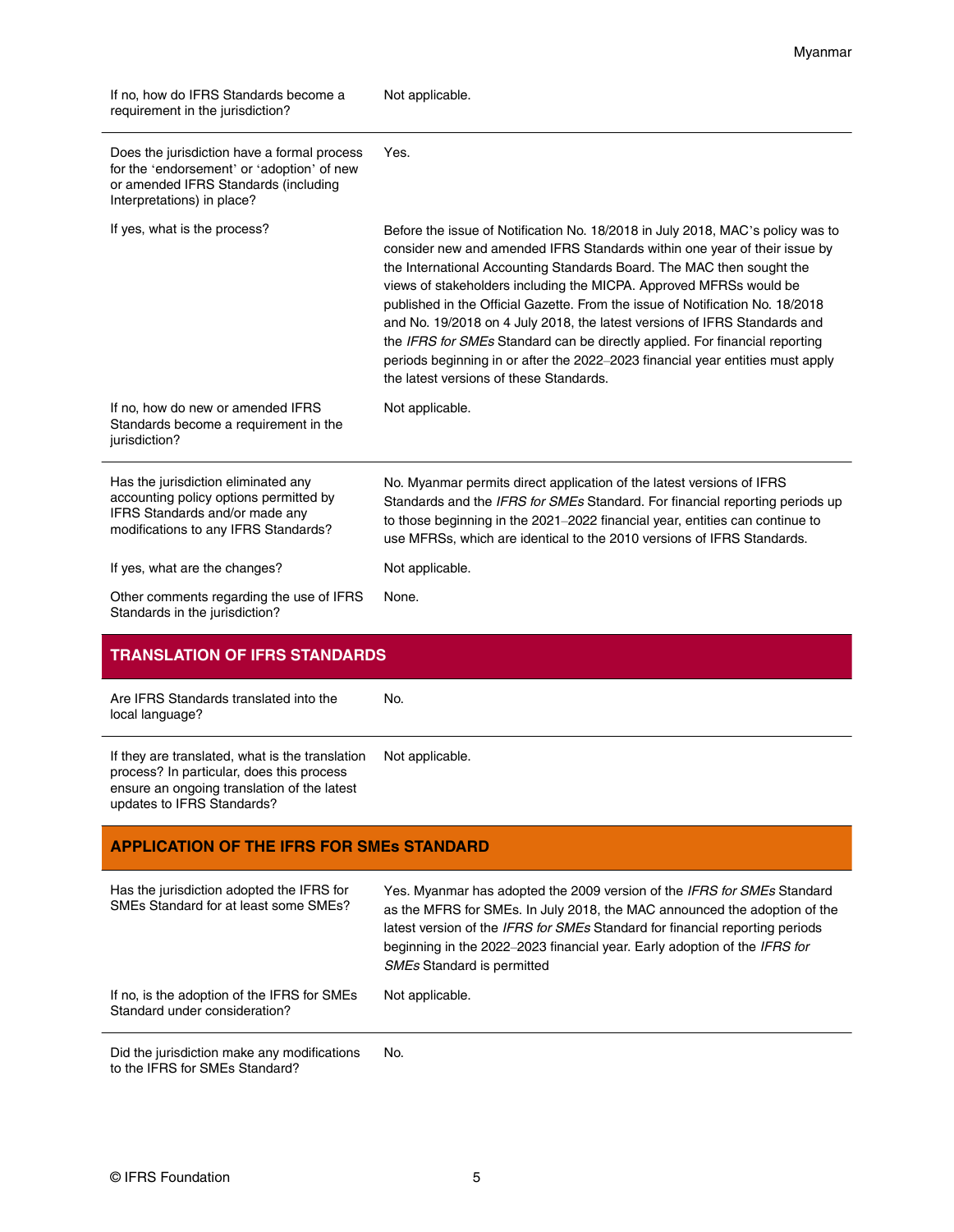| If no, how do IFRS Standards become a<br>requirement in the jurisdiction?                                                                                       | Not applicable.                                                                                                                                                                                                                                                                                                                                                                                                                                                                                                                                                                                                                                                                      |
|-----------------------------------------------------------------------------------------------------------------------------------------------------------------|--------------------------------------------------------------------------------------------------------------------------------------------------------------------------------------------------------------------------------------------------------------------------------------------------------------------------------------------------------------------------------------------------------------------------------------------------------------------------------------------------------------------------------------------------------------------------------------------------------------------------------------------------------------------------------------|
| Does the jurisdiction have a formal process<br>for the 'endorsement' or 'adoption' of new<br>or amended IFRS Standards (including<br>Interpretations) in place? | Yes.                                                                                                                                                                                                                                                                                                                                                                                                                                                                                                                                                                                                                                                                                 |
| If yes, what is the process?                                                                                                                                    | Before the issue of Notification No. 18/2018 in July 2018, MAC's policy was to<br>consider new and amended IFRS Standards within one year of their issue by<br>the International Accounting Standards Board. The MAC then sought the<br>views of stakeholders including the MICPA. Approved MFRSs would be<br>published in the Official Gazette. From the issue of Notification No. 18/2018<br>and No. 19/2018 on 4 July 2018, the latest versions of IFRS Standards and<br>the IFRS for SMEs Standard can be directly applied. For financial reporting<br>periods beginning in or after the 2022-2023 financial year entities must apply<br>the latest versions of these Standards. |
| If no, how do new or amended IFRS<br>Standards become a requirement in the<br>jurisdiction?                                                                     | Not applicable.                                                                                                                                                                                                                                                                                                                                                                                                                                                                                                                                                                                                                                                                      |
|                                                                                                                                                                 |                                                                                                                                                                                                                                                                                                                                                                                                                                                                                                                                                                                                                                                                                      |
| Has the jurisdiction eliminated any<br>accounting policy options permitted by<br>IFRS Standards and/or made any<br>modifications to any IFRS Standards?         | No. Myanmar permits direct application of the latest versions of IFRS<br>Standards and the IFRS for SMEs Standard. For financial reporting periods up<br>to those beginning in the 2021-2022 financial year, entities can continue to<br>use MFRSs, which are identical to the 2010 versions of IFRS Standards.                                                                                                                                                                                                                                                                                                                                                                      |
| If yes, what are the changes?                                                                                                                                   | Not applicable.                                                                                                                                                                                                                                                                                                                                                                                                                                                                                                                                                                                                                                                                      |
| Other comments regarding the use of IFRS<br>Standards in the jurisdiction?                                                                                      | None.                                                                                                                                                                                                                                                                                                                                                                                                                                                                                                                                                                                                                                                                                |
| <b>TRANSLATION OF IFRS STANDARDS</b>                                                                                                                            |                                                                                                                                                                                                                                                                                                                                                                                                                                                                                                                                                                                                                                                                                      |

Myanmar

Are IFRS Standards translated into the local language? No. If they are translated, what is the translation process? In particular, does this process ensure an ongoing translation of the latest updates to IFRS Standards? Not applicable.

### **APPLICATION OF THE IFRS FOR SMEs STANDARD**

| Has the jurisdiction adopted the IFRS for<br>SMEs Standard for at least some SMEs? | Yes. Myanmar has adopted the 2009 version of the IFRS for SMEs Standard<br>as the MFRS for SMEs. In July 2018, the MAC announced the adoption of the<br>latest version of the IFRS for SMEs Standard for financial reporting periods<br>beginning in the 2022–2023 financial year. Early adoption of the IFRS for<br><b>SMEs Standard is permitted</b> |
|------------------------------------------------------------------------------------|--------------------------------------------------------------------------------------------------------------------------------------------------------------------------------------------------------------------------------------------------------------------------------------------------------------------------------------------------------|
| If no, is the adoption of the IFRS for SMEs<br>Standard under consideration?       | Not applicable.                                                                                                                                                                                                                                                                                                                                        |

Did the jurisdiction make any modifications to the IFRS for SMEs Standard? No.